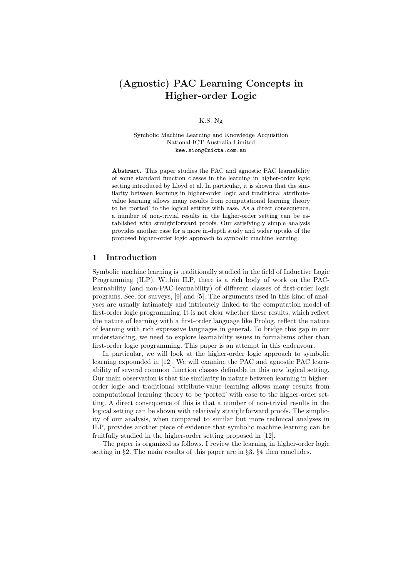# (Agnostic) PAC Learning Concepts in Higher-order Logic

### K.S. Ng

Symbolic Machine Learning and Knowledge Acquisition National ICT Australia Limited kee.siong@nicta.com.au

Abstract. This paper studies the PAC and agnostic PAC learnability of some standard function classes in the learning in higher-order logic setting introduced by Lloyd et al. In particular, it is shown that the similarity between learning in higher-order logic and traditional attributevalue learning allows many results from computational learning theory to be 'ported' to the logical setting with ease. As a direct consequence, a number of non-trivial results in the higher-order setting can be established with straightforward proofs. Our satisfyingly simple analysis provides another case for a more in-depth study and wider uptake of the proposed higher-order logic approach to symbolic machine learning.

# 1 Introduction

Symbolic machine learning is traditionally studied in the field of Inductive Logic Programming (ILP). Within ILP, there is a rich body of work on the PAClearnability (and non-PAC-learnability) of different classes of first-order logic programs. See, for surveys, [9] and [5]. The arguments used in this kind of analyses are usually intimately and intricately linked to the computation model of first-order logic programming. It is not clear whether these results, which reflect the nature of learning with a first-order language like Prolog, reflect the nature of learning with rich expressive languages in general. To bridge this gap in our understanding, we need to explore learnability issues in formalisms other than first-order logic programming. This paper is an attempt in this endeavour.

In particular, we will look at the higher-order logic approach to symbolic learning expounded in [12]. We will examine the PAC and agnostic PAC learnability of several common function classes definable in this new logical setting. Our main observation is that the similarity in nature between learning in higherorder logic and traditional attribute-value learning allows many results from computational learning theory to be 'ported' with ease to the higher-order setting. A direct consequence of this is that a number of non-trivial results in the logical setting can be shown with relatively straightforward proofs. The simplicity of our analysis, when compared to similar but more technical analyses in ILP, provides another piece of evidence that symbolic machine learning can be fruitfully studied in the higher-order setting proposed in [12].

The paper is organized as follows. I review the learning in higher-order logic setting in §2. The main results of this paper are in §3. §4 then concludes.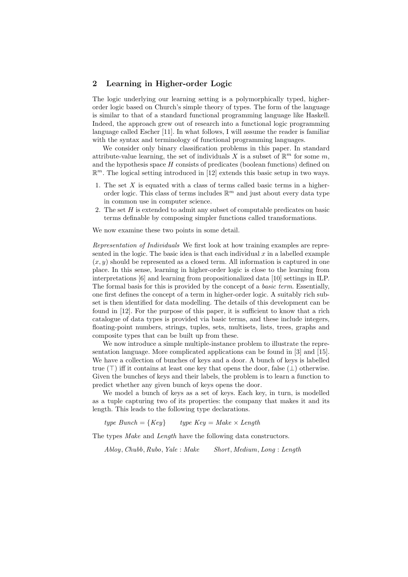## 2 Learning in Higher-order Logic

The logic underlying our learning setting is a polymorphically typed, higherorder logic based on Church's simple theory of types. The form of the language is similar to that of a standard functional programming language like Haskell. Indeed, the approach grew out of research into a functional logic programming language called Escher [11]. In what follows, I will assume the reader is familiar with the syntax and terminology of functional programming languages.

We consider only binary classification problems in this paper. In standard attribute-value learning, the set of individuals X is a subset of  $\mathbb{R}^m$  for some m, and the hypothesis space  $H$  consists of predicates (boolean functions) defined on  $\mathbb{R}^m$ . The logical setting introduced in [12] extends this basic setup in two ways.

- 1. The set  $X$  is equated with a class of terms called basic terms in a higherorder logic. This class of terms includes  $\mathbb{R}^m$  and just about every data type in common use in computer science.
- 2. The set  $H$  is extended to admit any subset of computable predicates on basic terms definable by composing simpler functions called transformations.

We now examine these two points in some detail.

Representation of Individuals We first look at how training examples are represented in the logic. The basic idea is that each individual  $x$  in a labelled example  $(x, y)$  should be represented as a closed term. All information is captured in one place. In this sense, learning in higher-order logic is close to the learning from interpretations [6] and learning from propositionalized data [10] settings in ILP. The formal basis for this is provided by the concept of a basic term. Essentially, one first defines the concept of a term in higher-order logic. A suitably rich subset is then identified for data modelling. The details of this development can be found in [12]. For the purpose of this paper, it is sufficient to know that a rich catalogue of data types is provided via basic terms, and these include integers, floating-point numbers, strings, tuples, sets, multisets, lists, trees, graphs and composite types that can be built up from these.

We now introduce a simple multiple-instance problem to illustrate the representation language. More complicated applications can be found in [3] and [15]. We have a collection of bunches of keys and a door. A bunch of keys is labelled true (⊤) iff it contains at least one key that opens the door, false ( $\perp$ ) otherwise. Given the bunches of keys and their labels, the problem is to learn a function to predict whether any given bunch of keys opens the door.

We model a bunch of keys as a set of keys. Each key, in turn, is modelled as a tuple capturing two of its properties: the company that makes it and its length. This leads to the following type declarations.

type Bunch =  $\{Key\}$  type  $Key = Make \times Length$ 

The types *Make* and *Length* have the following data constructors.

Abloy, Chubb, Rubo, Yale : Make Short, Medium, Long : Length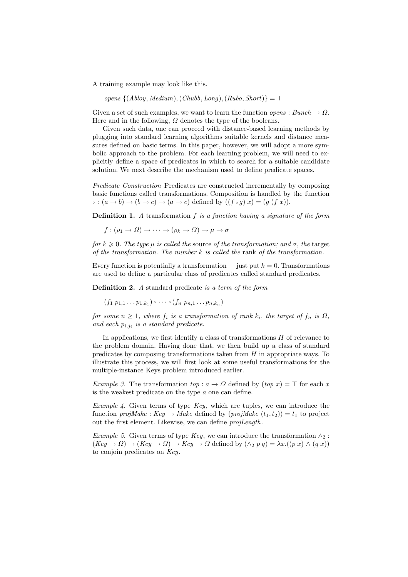A training example may look like this.

opens  $\{(Abloy, Medium), (Chubb, Long), (Rubo, Short)\} = ⊤$ 

Given a set of such examples, we want to learn the function *opens* : Bunch  $\rightarrow \Omega$ . Here and in the following,  $\Omega$  denotes the type of the booleans.

Given such data, one can proceed with distance-based learning methods by plugging into standard learning algorithms suitable kernels and distance measures defined on basic terms. In this paper, however, we will adopt a more symbolic approach to the problem. For each learning problem, we will need to explicitly define a space of predicates in which to search for a suitable candidate solution. We next describe the mechanism used to define predicate spaces.

Predicate Construction Predicates are constructed incrementally by composing basic functions called transformations. Composition is handled by the function  $\circ : (a \to b) \to (b \to c) \to (a \to c)$  defined by  $((f \circ g) x) = (g (f x))$ .

**Definition 1.** A transformation  $f$  is a function having a signature of the form

 $f : (\rho_1 \to \Omega) \to \cdots \to (\rho_k \to \Omega) \to \mu \to \sigma$ 

for  $k \geq 0$ . The type  $\mu$  is called the source of the transformation; and  $\sigma$ , the target of the transformation. The number  $k$  is called the rank of the transformation.

Every function is potentially a transformation — just put  $k = 0$ . Transformations are used to define a particular class of predicates called standard predicates.

Definition 2. A standard predicate is a term of the form

 $(f_1 p_{1,1} \ldots p_{1,k_1}) \circ \cdots \circ (f_n p_{n,1} \ldots p_{n,k_n})$ 

for some  $n \geq 1$ , where  $f_i$  is a transformation of rank  $k_i$ , the target of  $f_n$  is  $\Omega$ , and each  $p_{i,j_i}$  is a standard predicate.

In applications, we first identify a class of transformations H of relevance to the problem domain. Having done that, we then build up a class of standard predicates by composing transformations taken from  $H$  in appropriate ways. To illustrate this process, we will first look at some useful transformations for the multiple-instance Keys problem introduced earlier.

Example 3. The transformation to  $p : a \to \Omega$  defined by  $(top x) = \top$  for each x is the weakest predicate on the type a one can define.

Example 4. Given terms of type  $Key$ , which are tuples, we can introduce the function projMake : Key  $\rightarrow$  Make defined by (projMake  $(t_1, t_2)$ ) =  $t_1$  to project out the first element. Likewise, we can define projLength.

Example 5. Given terms of type Key, we can introduce the transformation  $\wedge_2$ :  $(Key \to \Omega) \to (Key \to \Omega) \to Key \to \Omega$  defined by  $(\wedge_2 p q) = \lambda x.((p x) \wedge (q x))$ to conjoin predicates on Key.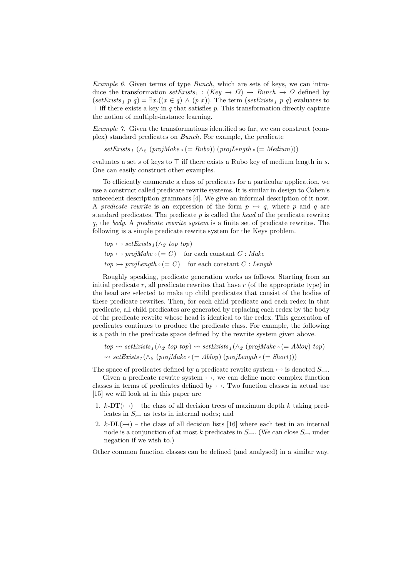Example 6. Given terms of type Bunch, which are sets of keys, we can introduce the transformation  $setExists_1 : (Key \rightarrow \Omega) \rightarrow Bunch \rightarrow \Omega$  defined by (setExists<sub>1</sub> p q) =  $\exists x . ((x \in q) \land (p x))$ . The term (setExists<sub>1</sub> p q) evaluates to  $\top$  iff there exists a key in q that satisfies p. This transformation directly capture the notion of multiple-instance learning.

Example 7. Given the transformations identified so far, we can construct (complex) standard predicates on Bunch. For example, the predicate

 $setExists<sub>1</sub> (\wedge_{\mathcal{L}} (projMake \circ (= Rubo)) (projLength \circ (= Medium)))$ 

evaluates a set s of keys to  $\top$  iff there exists a Rubo key of medium length in s. One can easily construct other examples.

To efficiently enumerate a class of predicates for a particular application, we use a construct called predicate rewrite systems. It is similar in design to Cohen's antecedent description grammars [4]. We give an informal description of it now. A predicate rewrite is an expression of the form  $p \rightarrow q$ , where p and q are standard predicates. The predicate  $p$  is called the head of the predicate rewrite; q, the body. A predicate rewrite system is a finite set of predicate rewrites. The following is a simple predicate rewrite system for the Keys problem.

 $top \rightarrow setE$   $\rightarrow$   $\land$  <sup>2</sup> *top top top* $top \rightarrow projMake \circ (= C)$  for each constant  $C : Make$  $top \rightarrow projLength \circ (= C)$  for each constant  $C: Length$ 

Roughly speaking, predicate generation works as follows. Starting from an initial predicate  $r$ , all predicate rewrites that have  $r$  (of the appropriate type) in the head are selected to make up child predicates that consist of the bodies of these predicate rewrites. Then, for each child predicate and each redex in that predicate, all child predicates are generated by replacing each redex by the body of the predicate rewrite whose head is identical to the redex. This generation of predicates continues to produce the predicate class. For example, the following is a path in the predicate space defined by the rewrite system given above.

 $top \rightsquigarrow setExists_1(\wedge_2 top top) \rightsquigarrow setExists_1(\wedge_2 (projMake \circ (= Abloy) top)$  $\rightsquigarrow setExists_1(\wedge_{\mathcal{D}} (projMake \circ (= Abloy) (projLength \circ (= Short)))$ 

The space of predicates defined by a predicate rewrite system  $\rightarrow$  is denoted  $S_{\rightarrow}$ .

Given a predicate rewrite system  $\rightarrow$ , we can define more complex function classes in terms of predicates defined by  $\rightarrow$ . Two function classes in actual use [15] we will look at in this paper are

- 1.  $k$ -DT( $\rightarrow$ ) the class of all decision trees of maximum depth k taking predicates in  $S_{\rightarrow}$  as tests in internal nodes; and
- 2. k-DL( $\rightarrow$ ) the class of all decision lists [16] where each test in an internal node is a conjunction of at most k predicates in  $S_{\rightarrow}$ . (We can close  $S_{\rightarrow}$  under negation if we wish to.)

Other common function classes can be defined (and analysed) in a similar way.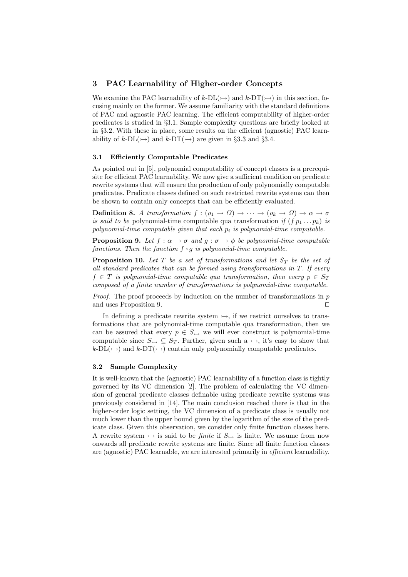### 3 PAC Learnability of Higher-order Concepts

We examine the PAC learnability of  $k-\text{DL}(\rightarrow)$  and  $k-\text{DT}(\rightarrow)$  in this section, focusing mainly on the former. We assume familiarity with the standard definitions of PAC and agnostic PAC learning. The efficient computability of higher-order predicates is studied in §3.1. Sample complexity questions are briefly looked at in §3.2. With these in place, some results on the efficient (agnostic) PAC learnability of k-DL( $\rightarrow$ ) and k-DT( $\rightarrow$ ) are given in §3.3 and §3.4.

#### 3.1 Efficiently Computable Predicates

As pointed out in [5], polynomial computability of concept classes is a prerequisite for efficient PAC learnability. We now give a sufficient condition on predicate rewrite systems that will ensure the production of only polynomially computable predicates. Predicate classes defined on such restricted rewrite systems can then be shown to contain only concepts that can be efficiently evaluated.

**Definition 8.** A transformation  $f : (\varrho_1 \to \Omega) \to \cdots \to (\varrho_k \to \Omega) \to \alpha \to \sigma$ is said to be polynomial-time computable qua transformation if  $(f p_1 ... p_k)$  is polynomial-time computable given that each  $p_i$  is polynomial-time computable.

**Proposition 9.** Let  $f : \alpha \to \sigma$  and  $g : \sigma \to \phi$  be polynomial-time computable functions. Then the function  $f \circ g$  is polynomial-time computable.

**Proposition 10.** Let  $T$  be a set of transformations and let  $S_T$  be the set of all standard predicates that can be formed using transformations in  $T$ . If every  $f \in T$  is polynomial-time computable qua transformation, then every  $p \in S_T$ composed of a finite number of transformations is polynomial-time computable.

*Proof.* The proof proceeds by induction on the number of transformations in  $p$ and uses Proposition 9. ⊓⊔

In defining a predicate rewrite system  $\rightarrow$ , if we restrict ourselves to transformations that are polynomial-time computable qua transformation, then we can be assured that every  $p \in S_{\rightarrow}$  we will ever construct is polynomial-time computable since  $S_{\rightarrow} \subseteq S_T$ . Further, given such a  $\rightarrow$ , it's easy to show that  $k\n-DL(\rightarrow)$  and  $k\n-DT(\rightarrow)$  contain only polynomially computable predicates.

### 3.2 Sample Complexity

It is well-known that the (agnostic) PAC learnability of a function class is tightly governed by its VC dimension [2]. The problem of calculating the VC dimension of general predicate classes definable using predicate rewrite systems was previously considered in [14]. The main conclusion reached there is that in the higher-order logic setting, the VC dimension of a predicate class is usually not much lower than the upper bound given by the logarithm of the size of the predicate class. Given this observation, we consider only finite function classes here. A rewrite system  $\rightarrow$  is said to be *finite* if  $S_{\rightarrow}$  is finite. We assume from now onwards all predicate rewrite systems are finite. Since all finite function classes are (agnostic) PAC learnable, we are interested primarily in efficient learnability.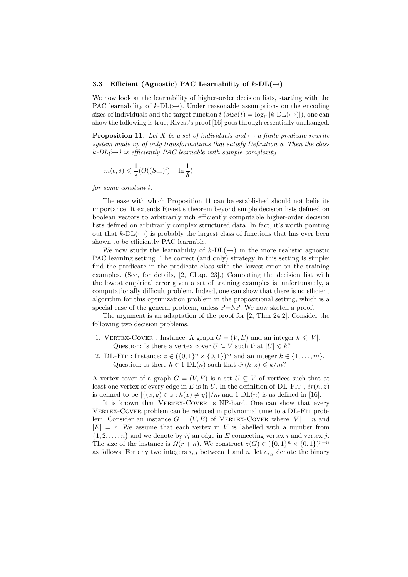#### 3.3 Efficient (Agnostic) PAC Learnability of  $k\text{-DL}(\rightarrow)$

We now look at the learnability of higher-order decision lists, starting with the PAC learnability of  $k$ -DL( $\rightarrow$ ). Under reasonable assumptions on the encoding sizes of individuals and the target function  $t (size(t) = \log_2 |k\text{-DL}(\rightarrow)|)$ , one can show the following is true; Rivest's proof [16] goes through essentially unchanged.

**Proposition 11.** Let X be a set of individuals and  $\rightarrow$  a finite predicate rewrite system made up of only transformations that satisfy Definition 8. Then the class  $k\n-DL(\rightarrowtail)$  is efficiently PAC learnable with sample complexity

$$
m(\epsilon,\delta) \leqslant \frac{1}{\epsilon} (O((S_{\rightarrow})^l) + \ln \frac{1}{\delta})
$$

for some constant l.

The ease with which Proposition 11 can be established should not belie its importance. It extends Rivest's theorem beyond simple decision lists defined on boolean vectors to arbitrarily rich efficiently computable higher-order decision lists defined on arbitrarily complex structured data. In fact, it's worth pointing out that  $k\text{-DL}(\rightarrow)$  is probably the largest class of functions that has ever been shown to be efficiently PAC learnable.

We now study the learnability of  $k-\text{DL}(\rightarrow)$  in the more realistic agnostic PAC learning setting. The correct (and only) strategy in this setting is simple: find the predicate in the predicate class with the lowest error on the training examples. (See, for details, [2, Chap. 23].) Computing the decision list with the lowest empirical error given a set of training examples is, unfortunately, a computationally difficult problem. Indeed, one can show that there is no efficient algorithm for this optimization problem in the propositional setting, which is a special case of the general problem, unless P=NP. We now sketch a proof.

The argument is an adaptation of the proof for [2, Thm 24.2]. Consider the following two decision problems.

- 1. VERTEX-COVER : Instance: A graph  $G = (V, E)$  and an integer  $k \leq |V|$ . Question: Is there a vertex cover  $U \subseteq V$  such that  $|U| \leq k$ ?
- 2. DL-FIT : Instance:  $z \in (\{0,1\}^n \times \{0,1\})^m$  and an integer  $k \in \{1, ..., m\}$ . Question: Is there  $h \in 1$ -DL $(n)$  such that  $\hat{er}(h, z) \leq k/m$ ?

A vertex cover of a graph  $G = (V, E)$  is a set  $U \subseteq V$  of vertices such that at least one vertex of every edge in E is in U. In the definition of DL-FIT,  $\hat{er}(h, z)$ is defined to be  $|\{(x,y)\in z: h(x)\neq y\}|/m$  and 1-DL(n) is as defined in [16].

It is known that VERTEX-COVER is NP-hard. One can show that every VERTEX-COVER problem can be reduced in polynomial time to a DL-FIT problem. Consider an instance  $G = (V, E)$  of VERTEX-COVER where  $|V| = n$  and  $|E| = r$ . We assume that each vertex in V is labelled with a number from  $\{1, 2, \ldots, n\}$  and we denote by ij an edge in E connecting vertex i and vertex j. The size of the instance is  $\Omega(r+n)$ . We construct  $z(G) \in (\{0,1\}^n \times \{0,1\})^{r+n}$ as follows. For any two integers  $i, j$  between 1 and n, let  $e_{i,j}$  denote the binary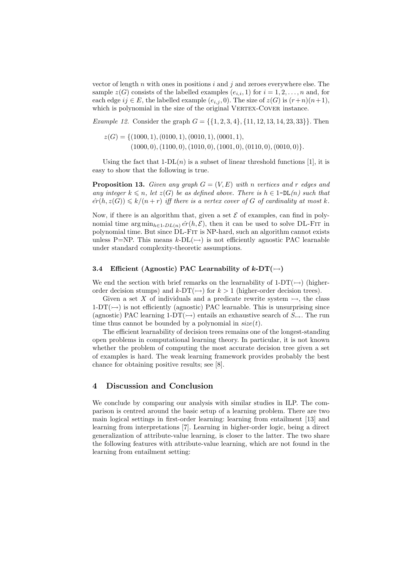vector of length  $n$  with ones in positions  $i$  and  $j$  and zeroes everywhere else. The sample  $z(G)$  consists of the labelled examples  $(e_{i,i}, 1)$  for  $i = 1, 2, ..., n$  and, for each edge  $ij \in E$ , the labelled example  $(e_{i,j}, 0)$ . The size of  $z(G)$  is  $(r+n)(n+1)$ , which is polynomial in the size of the original VERTEX-COVER instance.

Example 12. Consider the graph  $G = \{\{1, 2, 3, 4\}, \{11, 12, 13, 14, 23, 33\}\}\.$  Then

 $z(G) = \{(1000, 1), (0100, 1), (0010, 1), (0001, 1),$  $(1000, 0), (1100, 0), (1010, 0), (1001, 0), (0110, 0), (0010, 0)$ .

Using the fact that  $1-DL(n)$  is a subset of linear threshold functions [1], it is easy to show that the following is true.

**Proposition 13.** Given any graph  $G = (V, E)$  with n vertices and r edges and any integer  $k \leq n$ , let  $z(G)$  be as defined above. There is  $h \in 1-DL(n)$  such that  $\hat{er}(h, z(G)) \le k/(n+r)$  iff there is a vertex cover of G of cardinality at most k.

Now, if there is an algorithm that, given a set  $\mathcal E$  of examples, can find in polynomial time  $\arg \min_{h \in 1-DL(n)} \hat{er}(h, \mathcal{E})$ , then it can be used to solve DL-Fir in polynomial time. But since DL-Fit is NP-hard, such an algorithm cannot exists unless P=NP. This means  $k$ -DL( $\rightarrow$ ) is not efficiently agnostic PAC learnable under standard complexity-theoretic assumptions.

#### 3.4 Efficient (Agnostic) PAC Learnability of  $k$ -DT( $\rightarrow$ )

We end the section with brief remarks on the learnability of  $1-DT(\rightarrow)$  (higherorder decision stumps) and  $k$ -DT( $\rightarrow$ ) for  $k > 1$  (higher-order decision trees).

Given a set X of individuals and a predicate rewrite system  $\rightarrow$ , the class  $1-DT(\rightarrow)$  is not efficiently (agnostic) PAC learnable. This is unsurprising since (agnostic) PAC learning 1-DT( $\rightarrow$ ) entails an exhaustive search of  $S_{\rightarrow}$ . The run time thus cannot be bounded by a polynomial in  $size(t)$ .

The efficient learnability of decision trees remains one of the longest-standing open problems in computational learning theory. In particular, it is not known whether the problem of computing the most accurate decision tree given a set of examples is hard. The weak learning framework provides probably the best chance for obtaining positive results; see [8].

# 4 Discussion and Conclusion

We conclude by comparing our analysis with similar studies in ILP. The comparison is centred around the basic setup of a learning problem. There are two main logical settings in first-order learning: learning from entailment [13] and learning from interpretations [7]. Learning in higher-order logic, being a direct generalization of attribute-value learning, is closer to the latter. The two share the following features with attribute-value learning, which are not found in the learning from entailment setting: